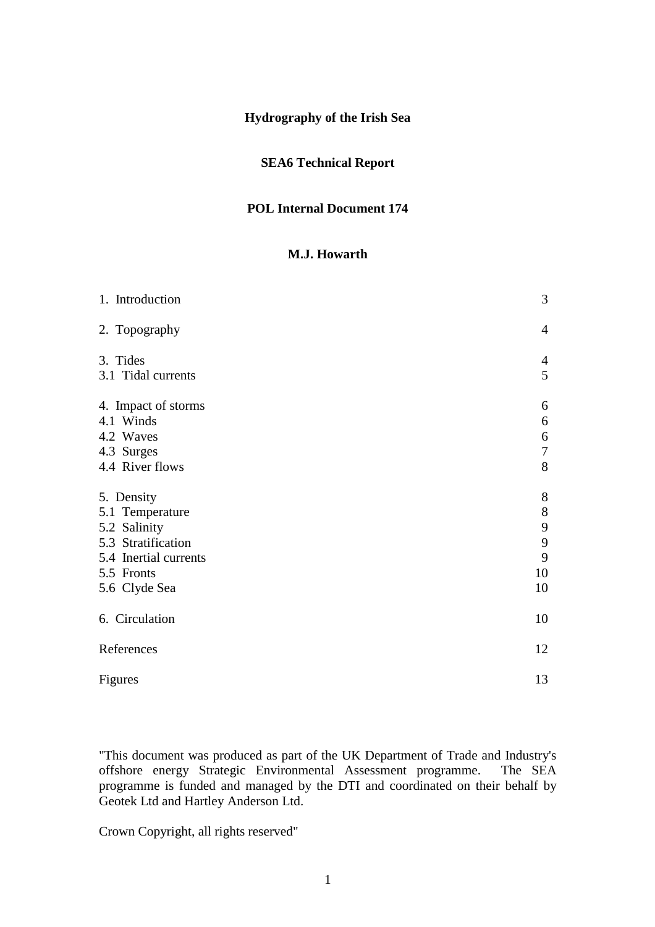# **Hydrography of the Irish Sea**

### **SEA6 Technical Report**

#### **POL Internal Document 174**

#### **M.J. Howarth**

| 1. Introduction       | 3                |
|-----------------------|------------------|
| 2. Topography         | $\overline{4}$   |
| 3. Tides              | $\overline{4}$   |
| 3.1 Tidal currents    | 5                |
| 4. Impact of storms   | 6                |
| 4.1 Winds             | 6                |
| 4.2 Waves             | $\boldsymbol{6}$ |
| 4.3 Surges            | $\boldsymbol{7}$ |
| 4.4 River flows       | 8                |
| 5. Density            | $8\,$            |
| 5.1 Temperature       | $\,8\,$          |
| 5.2 Salinity          | 9                |
| 5.3 Stratification    | 9                |
| 5.4 Inertial currents | 9                |
| 5.5 Fronts            | 10               |
| 5.6 Clyde Sea         | 10               |
| 6. Circulation        | 10               |
| References            | 12               |
| Figures               | 13               |

"This document was produced as part of the UK Department of Trade and Industry's offshore energy Strategic Environmental Assessment programme. The SEA offshore energy Strategic Environmental Assessment programme. programme is funded and managed by the DTI and coordinated on their behalf by Geotek Ltd and Hartley Anderson Ltd.

Crown Copyright, all rights reserved"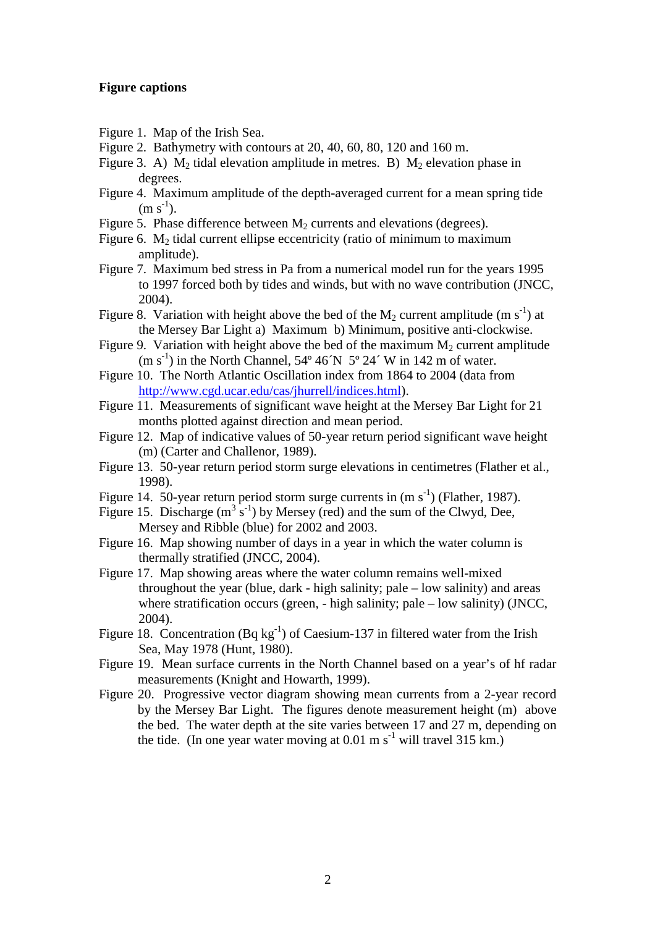#### **Figure captions**

- Figure 1. Map of the Irish Sea.
- Figure 2. Bathymetry with contours at 20, 40, 60, 80, 120 and 160 m.
- Figure 3. A)  $M_2$  tidal elevation amplitude in metres. B)  $M_2$  elevation phase in degrees.
- Figure 4. Maximum amplitude of the depth-averaged current for a mean spring tide  $(m s^{-1})$ .
- Figure 5. Phase difference between  $M_2$  currents and elevations (degrees).
- Figure 6.  $M_2$  tidal current ellipse eccentricity (ratio of minimum to maximum amplitude).
- Figure 7. Maximum bed stress in Pa from a numerical model run for the years 1995 to 1997 forced both by tides and winds, but with no wave contribution (JNCC, 2004).
- Figure 8. Variation with height above the bed of the  $M_2$  current amplitude (m s<sup>-1</sup>) at the Mersey Bar Light a) Maximum b) Minimum, positive anti-clockwise.
- Figure 9. Variation with height above the bed of the maximum  $M_2$  current amplitude  $(m s<sup>-1</sup>)$  in the North Channel, 54° 46 $N$  5° 24′ W in 142 m of water.
- Figure 10. The North Atlantic Oscillation index from 1864 to 2004 (data from http://www.cgd.ucar.edu/cas/jhurrell/indices.html).
- Figure 11. Measurements of significant wave height at the Mersey Bar Light for 21 months plotted against direction and mean period.
- Figure 12. Map of indicative values of 50-year return period significant wave height (m) (Carter and Challenor, 1989).
- Figure 13. 50-year return period storm surge elevations in centimetres (Flather et al., 1998).
- Figure 14. 50-year return period storm surge currents in  $(m s<sup>-1</sup>)$  (Flather, 1987).
- Figure 15. Discharge  $(m^3 s^{-1})$  by Mersey (red) and the sum of the Clwyd, Dee, Mersey and Ribble (blue) for 2002 and 2003.
- Figure 16. Map showing number of days in a year in which the water column is thermally stratified (JNCC, 2004).
- Figure 17. Map showing areas where the water column remains well-mixed throughout the year (blue, dark - high salinity; pale – low salinity) and areas where stratification occurs (green, - high salinity; pale – low salinity) (JNCC, 2004).
- Figure 18. Concentration (Bq kg<sup>-1</sup>) of Caesium-137 in filtered water from the Irish Sea, May 1978 (Hunt, 1980).
- Figure 19. Mean surface currents in the North Channel based on a year's of hf radar measurements (Knight and Howarth, 1999).
- Figure 20. Progressive vector diagram showing mean currents from a 2-year record by the Mersey Bar Light. The figures denote measurement height (m) above the bed. The water depth at the site varies between 17 and 27 m, depending on the tide. (In one year water moving at  $0.01 \text{ m s}^{-1}$  will travel 315 km.)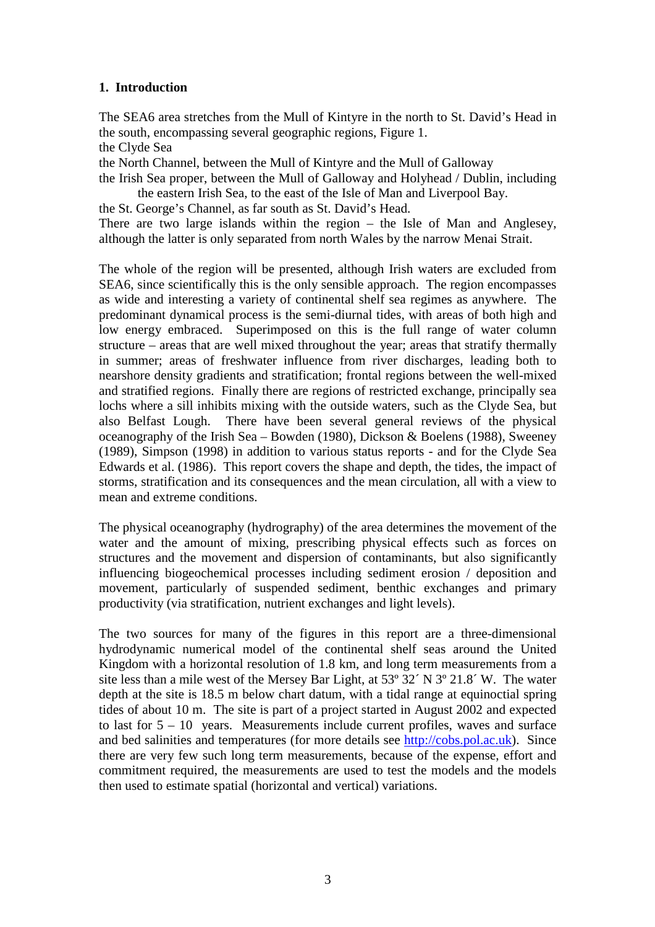### **1. Introduction**

The SEA6 area stretches from the Mull of Kintyre in the north to St. David's Head in the south, encompassing several geographic regions, Figure 1.

the Clyde Sea

the North Channel, between the Mull of Kintyre and the Mull of Galloway

the Irish Sea proper, between the Mull of Galloway and Holyhead / Dublin, including the eastern Irish Sea, to the east of the Isle of Man and Liverpool Bay.

the St. George's Channel, as far south as St. David's Head.

There are two large islands within the region – the Isle of Man and Anglesey, although the latter is only separated from north Wales by the narrow Menai Strait.

The whole of the region will be presented, although Irish waters are excluded from SEA6, since scientifically this is the only sensible approach. The region encompasses as wide and interesting a variety of continental shelf sea regimes as anywhere. The predominant dynamical process is the semi-diurnal tides, with areas of both high and low energy embraced. Superimposed on this is the full range of water column structure – areas that are well mixed throughout the year; areas that stratify thermally in summer; areas of freshwater influence from river discharges, leading both to nearshore density gradients and stratification; frontal regions between the well-mixed and stratified regions. Finally there are regions of restricted exchange, principally sea lochs where a sill inhibits mixing with the outside waters, such as the Clyde Sea, but also Belfast Lough. There have been several general reviews of the physical oceanography of the Irish Sea – Bowden (1980), Dickson & Boelens (1988), Sweeney (1989), Simpson (1998) in addition to various status reports - and for the Clyde Sea Edwards et al. (1986). This report covers the shape and depth, the tides, the impact of storms, stratification and its consequences and the mean circulation, all with a view to mean and extreme conditions.

The physical oceanography (hydrography) of the area determines the movement of the water and the amount of mixing, prescribing physical effects such as forces on structures and the movement and dispersion of contaminants, but also significantly influencing biogeochemical processes including sediment erosion / deposition and movement, particularly of suspended sediment, benthic exchanges and primary productivity (via stratification, nutrient exchanges and light levels).

The two sources for many of the figures in this report are a three-dimensional hydrodynamic numerical model of the continental shelf seas around the United Kingdom with a horizontal resolution of 1.8 km, and long term measurements from a site less than a mile west of the Mersey Bar Light, at 53º 32´ N 3º 21.8´ W. The water depth at the site is 18.5 m below chart datum, with a tidal range at equinoctial spring tides of about 10 m. The site is part of a project started in August 2002 and expected to last for  $5 - 10$  years. Measurements include current profiles, waves and surface and bed salinities and temperatures (for more details see http://cobs.pol.ac.uk). Since there are very few such long term measurements, because of the expense, effort and commitment required, the measurements are used to test the models and the models then used to estimate spatial (horizontal and vertical) variations.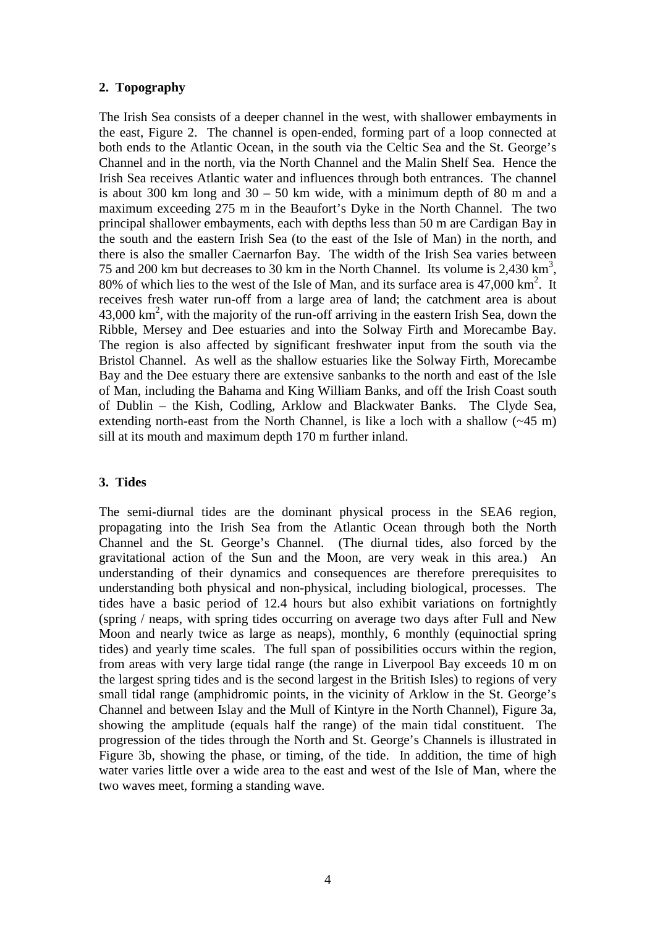#### **2. Topography**

The Irish Sea consists of a deeper channel in the west, with shallower embayments in the east, Figure 2. The channel is open-ended, forming part of a loop connected at both ends to the Atlantic Ocean, in the south via the Celtic Sea and the St. George's Channel and in the north, via the North Channel and the Malin Shelf Sea. Hence the Irish Sea receives Atlantic water and influences through both entrances. The channel is about 300 km long and  $30 - 50$  km wide, with a minimum depth of 80 m and a maximum exceeding 275 m in the Beaufort's Dyke in the North Channel. The two principal shallower embayments, each with depths less than 50 m are Cardigan Bay in the south and the eastern Irish Sea (to the east of the Isle of Man) in the north, and there is also the smaller Caernarfon Bay. The width of the Irish Sea varies between 75 and 200 km but decreases to 30 km in the North Channel. Its volume is  $2,430 \text{ km}^3$ , 80% of which lies to the west of the Isle of Man, and its surface area is  $47,000 \text{ km}^2$ . It receives fresh water run-off from a large area of land; the catchment area is about  $43,000 \text{ km}^2$ , with the majority of the run-off arriving in the eastern Irish Sea, down the Ribble, Mersey and Dee estuaries and into the Solway Firth and Morecambe Bay. The region is also affected by significant freshwater input from the south via the Bristol Channel. As well as the shallow estuaries like the Solway Firth, Morecambe Bay and the Dee estuary there are extensive sanbanks to the north and east of the Isle of Man, including the Bahama and King William Banks, and off the Irish Coast south of Dublin – the Kish, Codling, Arklow and Blackwater Banks. The Clyde Sea, extending north-east from the North Channel, is like a loch with a shallow (~45 m) sill at its mouth and maximum depth 170 m further inland.

## **3. Tides**

The semi-diurnal tides are the dominant physical process in the SEA6 region, propagating into the Irish Sea from the Atlantic Ocean through both the North Channel and the St. George's Channel. (The diurnal tides, also forced by the gravitational action of the Sun and the Moon, are very weak in this area.) An understanding of their dynamics and consequences are therefore prerequisites to understanding both physical and non-physical, including biological, processes. The tides have a basic period of 12.4 hours but also exhibit variations on fortnightly (spring / neaps, with spring tides occurring on average two days after Full and New Moon and nearly twice as large as neaps), monthly, 6 monthly (equinoctial spring tides) and yearly time scales. The full span of possibilities occurs within the region, from areas with very large tidal range (the range in Liverpool Bay exceeds 10 m on the largest spring tides and is the second largest in the British Isles) to regions of very small tidal range (amphidromic points, in the vicinity of Arklow in the St. George's Channel and between Islay and the Mull of Kintyre in the North Channel), Figure 3a, showing the amplitude (equals half the range) of the main tidal constituent. The progression of the tides through the North and St. George's Channels is illustrated in Figure 3b, showing the phase, or timing, of the tide. In addition, the time of high water varies little over a wide area to the east and west of the Isle of Man, where the two waves meet, forming a standing wave.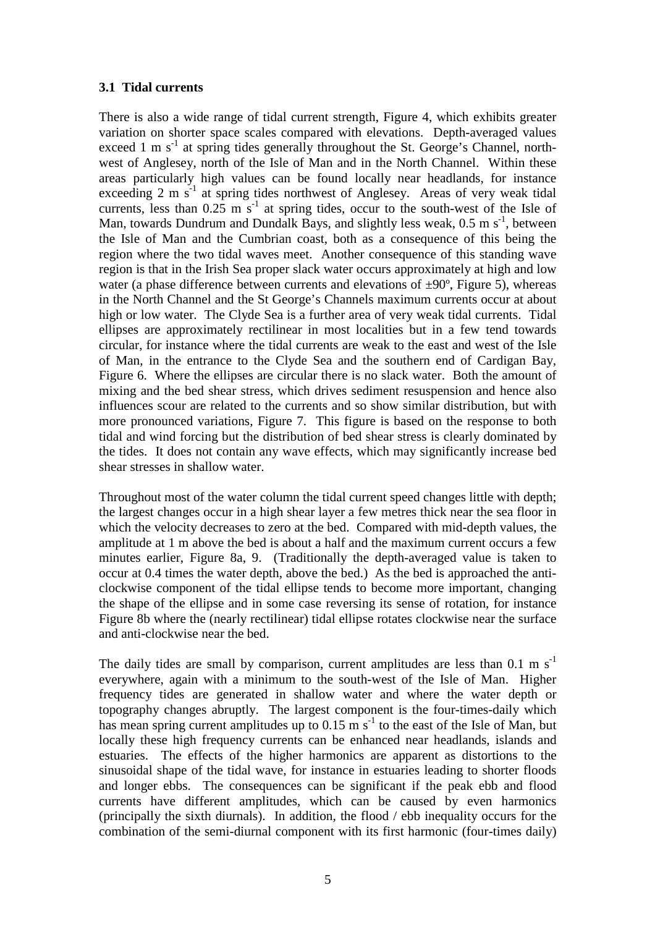#### **3.1 Tidal currents**

There is also a wide range of tidal current strength, Figure 4, which exhibits greater variation on shorter space scales compared with elevations. Depth-averaged values exceed 1 m  $s^{-1}$  at spring tides generally throughout the St. George's Channel, northwest of Anglesey, north of the Isle of Man and in the North Channel. Within these areas particularly high values can be found locally near headlands, for instance exceeding  $2 \text{ m s}^{-1}$  at spring tides northwest of Anglesey. Areas of very weak tidal currents, less than  $0.25 \text{ m s}^{-1}$  at spring tides, occur to the south-west of the Isle of Man, towards Dundrum and Dundalk Bays, and slightly less weak,  $0.5 \text{ m s}^{-1}$ , between the Isle of Man and the Cumbrian coast, both as a consequence of this being the region where the two tidal waves meet. Another consequence of this standing wave region is that in the Irish Sea proper slack water occurs approximately at high and low water (a phase difference between currents and elevations of  $\pm 90^\circ$ , Figure 5), whereas in the North Channel and the St George's Channels maximum currents occur at about high or low water. The Clyde Sea is a further area of very weak tidal currents. Tidal ellipses are approximately rectilinear in most localities but in a few tend towards circular, for instance where the tidal currents are weak to the east and west of the Isle of Man, in the entrance to the Clyde Sea and the southern end of Cardigan Bay, Figure 6. Where the ellipses are circular there is no slack water. Both the amount of mixing and the bed shear stress, which drives sediment resuspension and hence also influences scour are related to the currents and so show similar distribution, but with more pronounced variations, Figure 7. This figure is based on the response to both tidal and wind forcing but the distribution of bed shear stress is clearly dominated by the tides. It does not contain any wave effects, which may significantly increase bed shear stresses in shallow water.

Throughout most of the water column the tidal current speed changes little with depth; the largest changes occur in a high shear layer a few metres thick near the sea floor in which the velocity decreases to zero at the bed. Compared with mid-depth values, the amplitude at 1 m above the bed is about a half and the maximum current occurs a few minutes earlier, Figure 8a, 9. (Traditionally the depth-averaged value is taken to occur at 0.4 times the water depth, above the bed.) As the bed is approached the anticlockwise component of the tidal ellipse tends to become more important, changing the shape of the ellipse and in some case reversing its sense of rotation, for instance Figure 8b where the (nearly rectilinear) tidal ellipse rotates clockwise near the surface and anti-clockwise near the bed.

The daily tides are small by comparison, current amplitudes are less than  $0.1 \text{ m s}^{-1}$ everywhere, again with a minimum to the south-west of the Isle of Man. Higher frequency tides are generated in shallow water and where the water depth or topography changes abruptly. The largest component is the four-times-daily which has mean spring current amplitudes up to  $0.15 \text{ m s}^{-1}$  to the east of the Isle of Man, but locally these high frequency currents can be enhanced near headlands, islands and estuaries. The effects of the higher harmonics are apparent as distortions to the sinusoidal shape of the tidal wave, for instance in estuaries leading to shorter floods and longer ebbs. The consequences can be significant if the peak ebb and flood currents have different amplitudes, which can be caused by even harmonics (principally the sixth diurnals). In addition, the flood / ebb inequality occurs for the combination of the semi-diurnal component with its first harmonic (four-times daily)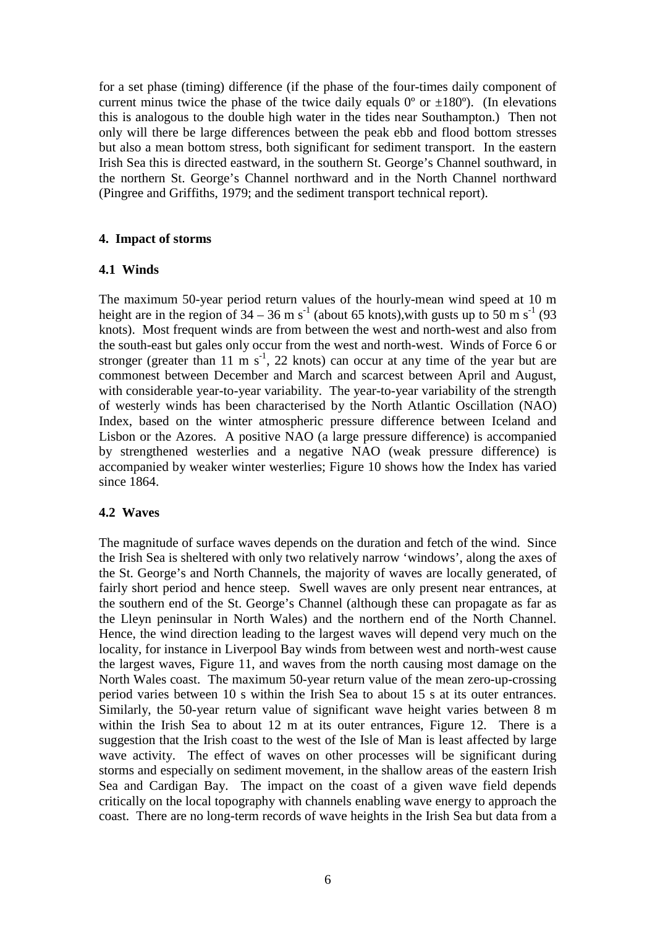for a set phase (timing) difference (if the phase of the four-times daily component of current minus twice the phase of the twice daily equals  $0^{\circ}$  or  $\pm 180^{\circ}$ ). (In elevations this is analogous to the double high water in the tides near Southampton.) Then not only will there be large differences between the peak ebb and flood bottom stresses but also a mean bottom stress, both significant for sediment transport. In the eastern Irish Sea this is directed eastward, in the southern St. George's Channel southward, in the northern St. George's Channel northward and in the North Channel northward (Pingree and Griffiths, 1979; and the sediment transport technical report).

### **4. Impact of storms**

### **4.1 Winds**

The maximum 50-year period return values of the hourly-mean wind speed at 10 m height are in the region of  $34 - 36$  m s<sup>-1</sup> (about 65 knots), with gusts up to 50 m s<sup>-1</sup> (93) knots). Most frequent winds are from between the west and north-west and also from the south-east but gales only occur from the west and north-west. Winds of Force 6 or stronger (greater than 11 m  $s^{-1}$ , 22 knots) can occur at any time of the year but are commonest between December and March and scarcest between April and August, with considerable year-to-year variability. The year-to-year variability of the strength of westerly winds has been characterised by the North Atlantic Oscillation (NAO) Index, based on the winter atmospheric pressure difference between Iceland and Lisbon or the Azores. A positive NAO (a large pressure difference) is accompanied by strengthened westerlies and a negative NAO (weak pressure difference) is accompanied by weaker winter westerlies; Figure 10 shows how the Index has varied since 1864.

## **4.2 Waves**

The magnitude of surface waves depends on the duration and fetch of the wind. Since the Irish Sea is sheltered with only two relatively narrow 'windows', along the axes of the St. George's and North Channels, the majority of waves are locally generated, of fairly short period and hence steep. Swell waves are only present near entrances, at the southern end of the St. George's Channel (although these can propagate as far as the Lleyn peninsular in North Wales) and the northern end of the North Channel. Hence, the wind direction leading to the largest waves will depend very much on the locality, for instance in Liverpool Bay winds from between west and north-west cause the largest waves, Figure 11, and waves from the north causing most damage on the North Wales coast. The maximum 50-year return value of the mean zero-up-crossing period varies between 10 s within the Irish Sea to about 15 s at its outer entrances. Similarly, the 50-year return value of significant wave height varies between 8 m within the Irish Sea to about 12 m at its outer entrances, Figure 12. There is a suggestion that the Irish coast to the west of the Isle of Man is least affected by large wave activity. The effect of waves on other processes will be significant during storms and especially on sediment movement, in the shallow areas of the eastern Irish Sea and Cardigan Bay. The impact on the coast of a given wave field depends critically on the local topography with channels enabling wave energy to approach the coast. There are no long-term records of wave heights in the Irish Sea but data from a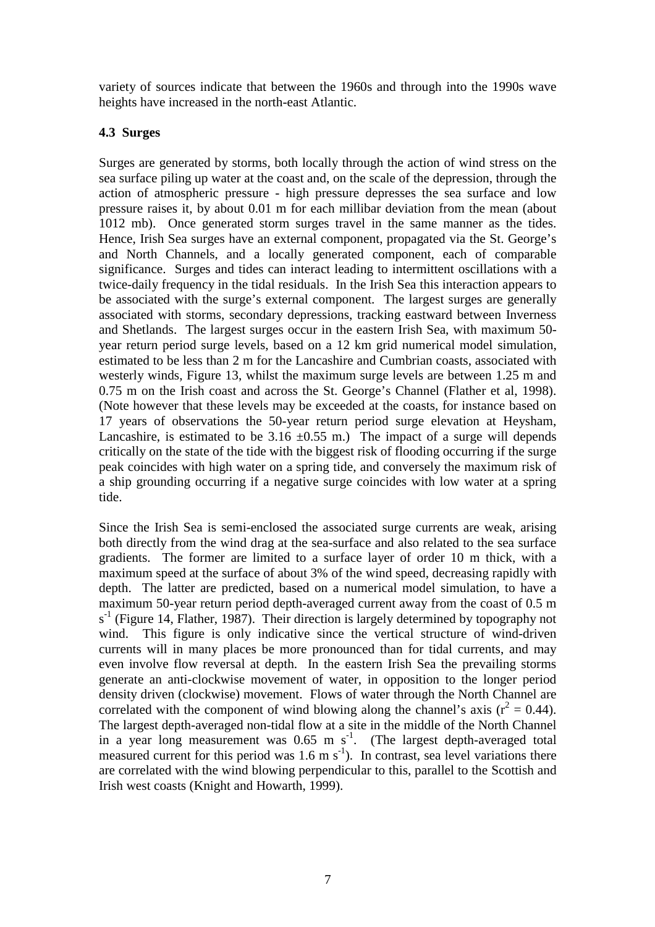variety of sources indicate that between the 1960s and through into the 1990s wave heights have increased in the north-east Atlantic.

#### **4.3 Surges**

Surges are generated by storms, both locally through the action of wind stress on the sea surface piling up water at the coast and, on the scale of the depression, through the action of atmospheric pressure - high pressure depresses the sea surface and low pressure raises it, by about 0.01 m for each millibar deviation from the mean (about 1012 mb). Once generated storm surges travel in the same manner as the tides. Hence, Irish Sea surges have an external component, propagated via the St. George's and North Channels, and a locally generated component, each of comparable significance. Surges and tides can interact leading to intermittent oscillations with a twice-daily frequency in the tidal residuals. In the Irish Sea this interaction appears to be associated with the surge's external component. The largest surges are generally associated with storms, secondary depressions, tracking eastward between Inverness and Shetlands. The largest surges occur in the eastern Irish Sea, with maximum 50 year return period surge levels, based on a 12 km grid numerical model simulation, estimated to be less than 2 m for the Lancashire and Cumbrian coasts, associated with westerly winds, Figure 13, whilst the maximum surge levels are between 1.25 m and 0.75 m on the Irish coast and across the St. George's Channel (Flather et al, 1998). (Note however that these levels may be exceeded at the coasts, for instance based on 17 years of observations the 50-year return period surge elevation at Heysham, Lancashire, is estimated to be  $3.16 \pm 0.55$  m.) The impact of a surge will depends critically on the state of the tide with the biggest risk of flooding occurring if the surge peak coincides with high water on a spring tide, and conversely the maximum risk of a ship grounding occurring if a negative surge coincides with low water at a spring tide.

Since the Irish Sea is semi-enclosed the associated surge currents are weak, arising both directly from the wind drag at the sea-surface and also related to the sea surface gradients. The former are limited to a surface layer of order 10 m thick, with a maximum speed at the surface of about 3% of the wind speed, decreasing rapidly with depth. The latter are predicted, based on a numerical model simulation, to have a maximum 50-year return period depth-averaged current away from the coast of 0.5 m  $s<sup>-1</sup>$  (Figure 14, Flather, 1987). Their direction is largely determined by topography not wind. This figure is only indicative since the vertical structure of wind-driven currents will in many places be more pronounced than for tidal currents, and may even involve flow reversal at depth. In the eastern Irish Sea the prevailing storms generate an anti-clockwise movement of water, in opposition to the longer period density driven (clockwise) movement. Flows of water through the North Channel are correlated with the component of wind blowing along the channel's axis ( $r^2 = 0.44$ ). The largest depth-averaged non-tidal flow at a site in the middle of the North Channel in a year long measurement was  $0.65$  m s<sup>-1</sup>. (The largest depth-averaged total measured current for this period was 1.6 m s<sup>-1</sup>). In contrast, sea level variations there are correlated with the wind blowing perpendicular to this, parallel to the Scottish and Irish west coasts (Knight and Howarth, 1999).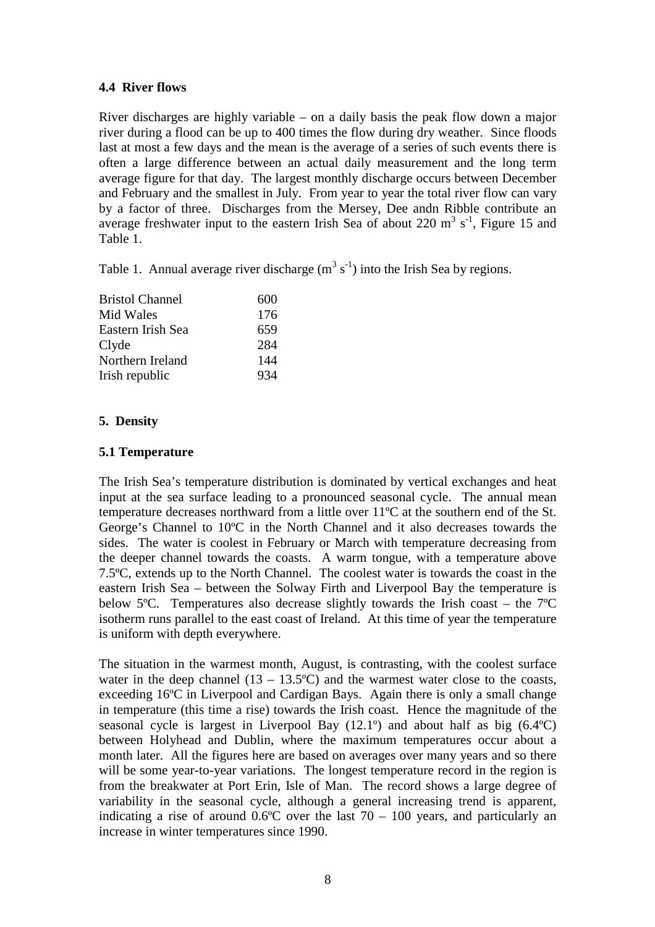### **4.4 River flows**

River discharges are highly variable – on a daily basis the peak flow down a major river during a flood can be up to 400 times the flow during dry weather. Since floods last at most a few days and the mean is the average of a series of such events there is often a large difference between an actual daily measurement and the long term average figure for that day. The largest monthly discharge occurs between December and February and the smallest in July. From year to year the total river flow can vary by a factor of three. Discharges from the Mersey, Dee andn Ribble contribute an average freshwater input to the eastern Irish Sea of about 220  $\text{m}^3$  s<sup>-1</sup>, Figure 15 and Table 1.

Table 1. Annual average river discharge  $(m^3 s^{-1})$  into the Irish Sea by regions.

| <b>Bristol Channel</b> | 600 |
|------------------------|-----|
| Mid Wales              | 176 |
| Eastern Irish Sea      | 659 |
| Clyde                  | 284 |
| Northern Ireland       | 144 |
| Irish republic         | 934 |

## **5. Density**

### **5.1 Temperature**

The Irish Sea's temperature distribution is dominated by vertical exchanges and heat input at the sea surface leading to a pronounced seasonal cycle. The annual mean temperature decreases northward from a little over 11ºC at the southern end of the St. George's Channel to 10ºC in the North Channel and it also decreases towards the sides. The water is coolest in February or March with temperature decreasing from the deeper channel towards the coasts. A warm tongue, with a temperature above 7.5ºC, extends up to the North Channel. The coolest water is towards the coast in the eastern Irish Sea – between the Solway Firth and Liverpool Bay the temperature is below 5ºC. Temperatures also decrease slightly towards the Irish coast – the 7ºC isotherm runs parallel to the east coast of Ireland. At this time of year the temperature is uniform with depth everywhere.

The situation in the warmest month, August, is contrasting, with the coolest surface water in the deep channel  $(13 - 13.5^{\circ}C)$  and the warmest water close to the coasts, exceeding 16ºC in Liverpool and Cardigan Bays. Again there is only a small change in temperature (this time a rise) towards the Irish coast. Hence the magnitude of the seasonal cycle is largest in Liverpool Bay (12.1º) and about half as big (6.4ºC) between Holyhead and Dublin, where the maximum temperatures occur about a month later. All the figures here are based on averages over many years and so there will be some year-to-year variations. The longest temperature record in the region is from the breakwater at Port Erin, Isle of Man. The record shows a large degree of variability in the seasonal cycle, although a general increasing trend is apparent, indicating a rise of around  $0.6^{\circ}$ C over the last  $70 - 100$  years, and particularly an increase in winter temperatures since 1990.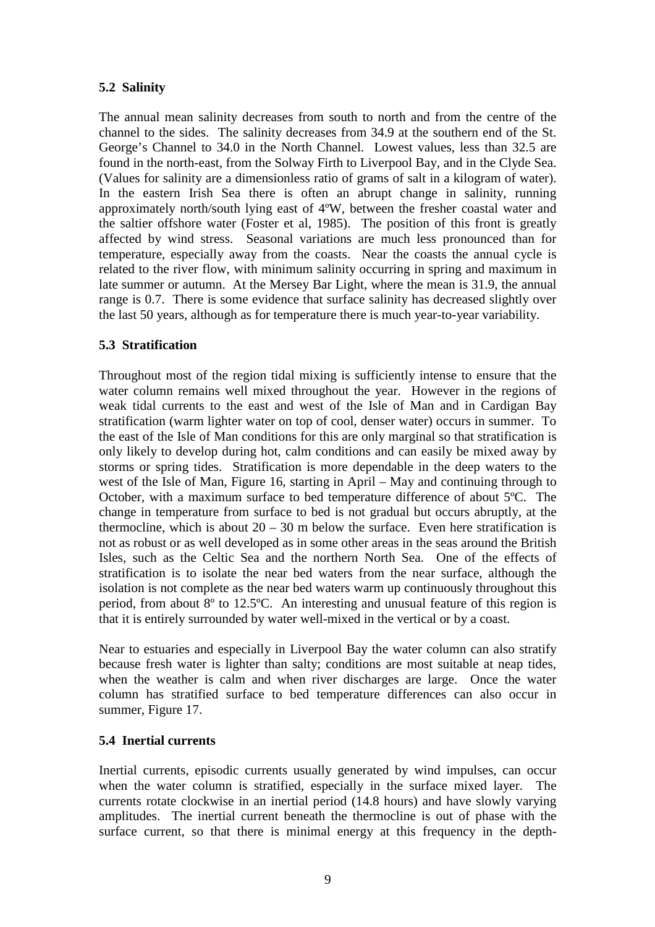# **5.2 Salinity**

The annual mean salinity decreases from south to north and from the centre of the channel to the sides. The salinity decreases from 34.9 at the southern end of the St. George's Channel to 34.0 in the North Channel. Lowest values, less than 32.5 are found in the north-east, from the Solway Firth to Liverpool Bay, and in the Clyde Sea. (Values for salinity are a dimensionless ratio of grams of salt in a kilogram of water). In the eastern Irish Sea there is often an abrupt change in salinity, running approximately north/south lying east of 4ºW, between the fresher coastal water and the saltier offshore water (Foster et al, 1985). The position of this front is greatly affected by wind stress. Seasonal variations are much less pronounced than for temperature, especially away from the coasts. Near the coasts the annual cycle is related to the river flow, with minimum salinity occurring in spring and maximum in late summer or autumn. At the Mersey Bar Light, where the mean is 31.9, the annual range is 0.7. There is some evidence that surface salinity has decreased slightly over the last 50 years, although as for temperature there is much year-to-year variability.

## **5.3 Stratification**

Throughout most of the region tidal mixing is sufficiently intense to ensure that the water column remains well mixed throughout the year. However in the regions of weak tidal currents to the east and west of the Isle of Man and in Cardigan Bay stratification (warm lighter water on top of cool, denser water) occurs in summer. To the east of the Isle of Man conditions for this are only marginal so that stratification is only likely to develop during hot, calm conditions and can easily be mixed away by storms or spring tides. Stratification is more dependable in the deep waters to the west of the Isle of Man, Figure 16, starting in April – May and continuing through to October, with a maximum surface to bed temperature difference of about 5ºC. The change in temperature from surface to bed is not gradual but occurs abruptly, at the thermocline, which is about  $20 - 30$  m below the surface. Even here stratification is not as robust or as well developed as in some other areas in the seas around the British Isles, such as the Celtic Sea and the northern North Sea. One of the effects of stratification is to isolate the near bed waters from the near surface, although the isolation is not complete as the near bed waters warm up continuously throughout this period, from about 8º to 12.5ºC. An interesting and unusual feature of this region is that it is entirely surrounded by water well-mixed in the vertical or by a coast.

Near to estuaries and especially in Liverpool Bay the water column can also stratify because fresh water is lighter than salty; conditions are most suitable at neap tides, when the weather is calm and when river discharges are large. Once the water column has stratified surface to bed temperature differences can also occur in summer, Figure 17.

## **5.4 Inertial currents**

Inertial currents, episodic currents usually generated by wind impulses, can occur when the water column is stratified, especially in the surface mixed layer. The currents rotate clockwise in an inertial period (14.8 hours) and have slowly varying amplitudes. The inertial current beneath the thermocline is out of phase with the surface current, so that there is minimal energy at this frequency in the depth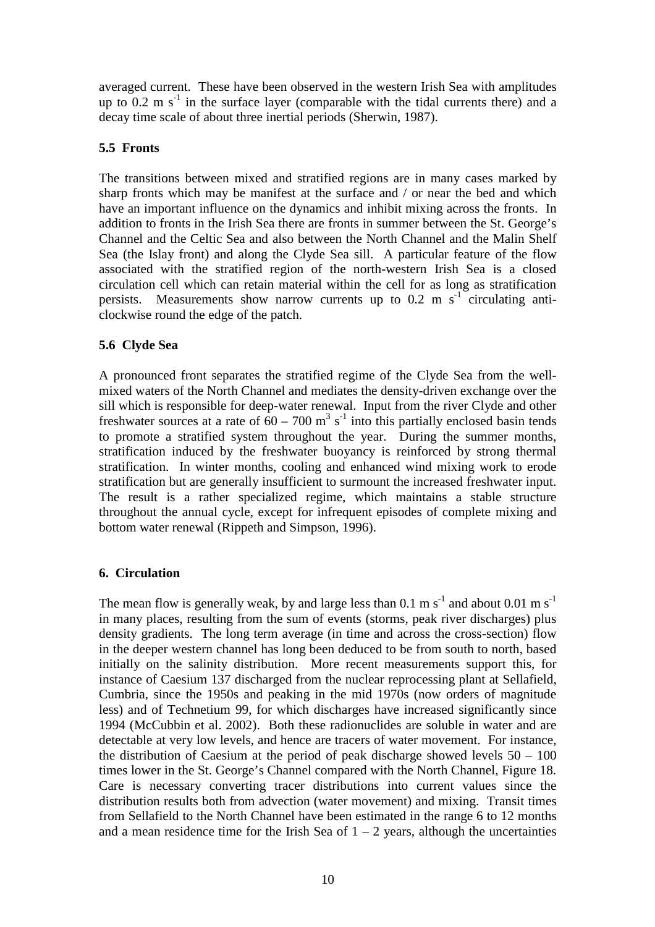averaged current. These have been observed in the western Irish Sea with amplitudes up to  $0.2 \text{ m s}^{-1}$  in the surface layer (comparable with the tidal currents there) and a decay time scale of about three inertial periods (Sherwin, 1987).

## **5.5 Fronts**

The transitions between mixed and stratified regions are in many cases marked by sharp fronts which may be manifest at the surface and / or near the bed and which have an important influence on the dynamics and inhibit mixing across the fronts. In addition to fronts in the Irish Sea there are fronts in summer between the St. George's Channel and the Celtic Sea and also between the North Channel and the Malin Shelf Sea (the Islay front) and along the Clyde Sea sill. A particular feature of the flow associated with the stratified region of the north-western Irish Sea is a closed circulation cell which can retain material within the cell for as long as stratification persists. Measurements show narrow currents up to  $0.2 \text{ m s}^{-1}$  circulating anticlockwise round the edge of the patch.

### **5.6 Clyde Sea**

A pronounced front separates the stratified regime of the Clyde Sea from the wellmixed waters of the North Channel and mediates the density-driven exchange over the sill which is responsible for deep-water renewal. Input from the river Clyde and other freshwater sources at a rate of  $60 - 700$  m<sup>3</sup> s<sup>-1</sup> into this partially enclosed basin tends to promote a stratified system throughout the year. During the summer months, stratification induced by the freshwater buoyancy is reinforced by strong thermal stratification. In winter months, cooling and enhanced wind mixing work to erode stratification but are generally insufficient to surmount the increased freshwater input. The result is a rather specialized regime, which maintains a stable structure throughout the annual cycle, except for infrequent episodes of complete mixing and bottom water renewal (Rippeth and Simpson, 1996).

#### **6. Circulation**

The mean flow is generally weak, by and large less than 0.1 m s<sup>-1</sup> and about 0.01 m s<sup>-1</sup> in many places, resulting from the sum of events (storms, peak river discharges) plus density gradients. The long term average (in time and across the cross-section) flow in the deeper western channel has long been deduced to be from south to north, based initially on the salinity distribution. More recent measurements support this, for instance of Caesium 137 discharged from the nuclear reprocessing plant at Sellafield, Cumbria, since the 1950s and peaking in the mid 1970s (now orders of magnitude less) and of Technetium 99, for which discharges have increased significantly since 1994 (McCubbin et al. 2002). Both these radionuclides are soluble in water and are detectable at very low levels, and hence are tracers of water movement. For instance, the distribution of Caesium at the period of peak discharge showed levels  $50 - 100$ times lower in the St. George's Channel compared with the North Channel, Figure 18. Care is necessary converting tracer distributions into current values since the distribution results both from advection (water movement) and mixing. Transit times from Sellafield to the North Channel have been estimated in the range 6 to 12 months and a mean residence time for the Irish Sea of  $1 - 2$  years, although the uncertainties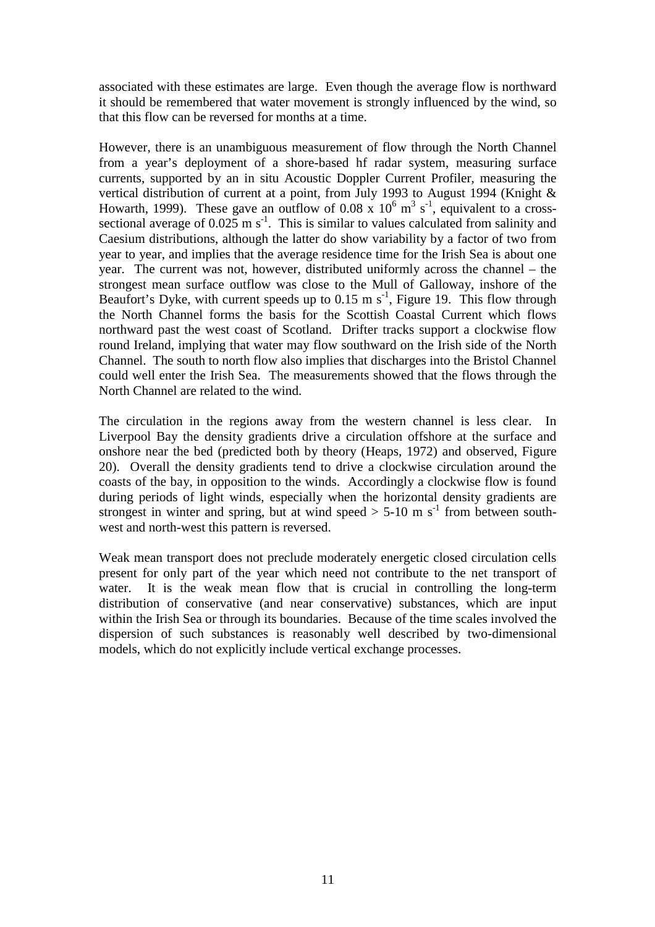associated with these estimates are large. Even though the average flow is northward it should be remembered that water movement is strongly influenced by the wind, so that this flow can be reversed for months at a time.

However, there is an unambiguous measurement of flow through the North Channel from a year's deployment of a shore-based hf radar system, measuring surface currents, supported by an in situ Acoustic Doppler Current Profiler, measuring the vertical distribution of current at a point, from July 1993 to August 1994 (Knight & Howarth, 1999). These gave an outflow of 0.08 x  $10^6$  m<sup>3</sup> s<sup>-1</sup>, equivalent to a crosssectional average of  $0.025 \text{ m s}^{-1}$ . This is similar to values calculated from salinity and Caesium distributions, although the latter do show variability by a factor of two from year to year, and implies that the average residence time for the Irish Sea is about one year. The current was not, however, distributed uniformly across the channel – the strongest mean surface outflow was close to the Mull of Galloway, inshore of the Beaufort's Dyke, with current speeds up to  $0.15 \text{ m s}^{-1}$ , Figure 19. This flow through the North Channel forms the basis for the Scottish Coastal Current which flows northward past the west coast of Scotland. Drifter tracks support a clockwise flow round Ireland, implying that water may flow southward on the Irish side of the North Channel. The south to north flow also implies that discharges into the Bristol Channel could well enter the Irish Sea. The measurements showed that the flows through the North Channel are related to the wind.

The circulation in the regions away from the western channel is less clear. In Liverpool Bay the density gradients drive a circulation offshore at the surface and onshore near the bed (predicted both by theory (Heaps, 1972) and observed, Figure 20). Overall the density gradients tend to drive a clockwise circulation around the coasts of the bay, in opposition to the winds. Accordingly a clockwise flow is found during periods of light winds, especially when the horizontal density gradients are strongest in winter and spring, but at wind speed  $> 5{\text -}10 \text{ m s}^{-1}$  from between southwest and north-west this pattern is reversed.

Weak mean transport does not preclude moderately energetic closed circulation cells present for only part of the year which need not contribute to the net transport of water. It is the weak mean flow that is crucial in controlling the long-term distribution of conservative (and near conservative) substances, which are input within the Irish Sea or through its boundaries. Because of the time scales involved the dispersion of such substances is reasonably well described by two-dimensional models, which do not explicitly include vertical exchange processes.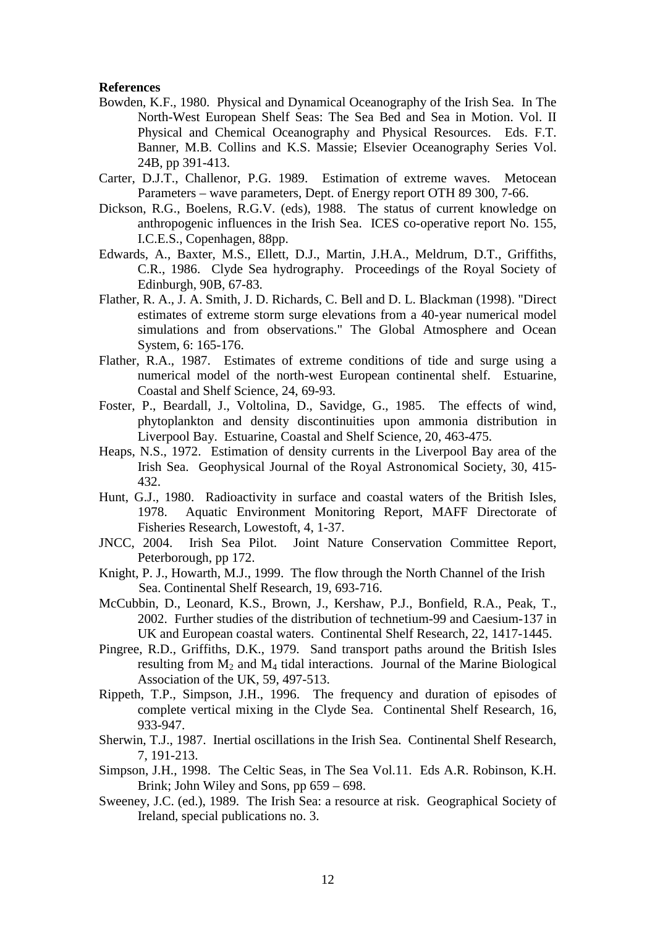#### **References**

- Bowden, K.F., 1980. Physical and Dynamical Oceanography of the Irish Sea. In The North-West European Shelf Seas: The Sea Bed and Sea in Motion. Vol. II Physical and Chemical Oceanography and Physical Resources. Eds. F.T. Banner, M.B. Collins and K.S. Massie; Elsevier Oceanography Series Vol. 24B, pp 391-413.
- Carter, D.J.T., Challenor, P.G. 1989. Estimation of extreme waves. Metocean Parameters – wave parameters, Dept. of Energy report OTH 89 300, 7-66.
- Dickson, R.G., Boelens, R.G.V. (eds), 1988. The status of current knowledge on anthropogenic influences in the Irish Sea. ICES co-operative report No. 155, I.C.E.S., Copenhagen, 88pp.
- Edwards, A., Baxter, M.S., Ellett, D.J., Martin, J.H.A., Meldrum, D.T., Griffiths, C.R., 1986. Clyde Sea hydrography. Proceedings of the Royal Society of Edinburgh, 90B, 67-83.
- Flather, R. A., J. A. Smith, J. D. Richards, C. Bell and D. L. Blackman (1998). "Direct estimates of extreme storm surge elevations from a 40-year numerical model simulations and from observations." The Global Atmosphere and Ocean System, 6: 165-176.
- Flather, R.A., 1987. Estimates of extreme conditions of tide and surge using a numerical model of the north-west European continental shelf. Estuarine, Coastal and Shelf Science, 24, 69-93.
- Foster, P., Beardall, J., Voltolina, D., Savidge, G., 1985. The effects of wind, phytoplankton and density discontinuities upon ammonia distribution in Liverpool Bay. Estuarine, Coastal and Shelf Science, 20, 463-475.
- Heaps, N.S., 1972. Estimation of density currents in the Liverpool Bay area of the Irish Sea. Geophysical Journal of the Royal Astronomical Society, 30, 415- 432.
- Hunt, G.J., 1980. Radioactivity in surface and coastal waters of the British Isles, 1978. Aquatic Environment Monitoring Report, MAFF Directorate of Fisheries Research, Lowestoft, 4, 1-37.
- JNCC, 2004. Irish Sea Pilot. Joint Nature Conservation Committee Report, Peterborough, pp 172.
- Knight, P. J., Howarth, M.J., 1999. The flow through the North Channel of the Irish Sea. Continental Shelf Research, 19, 693-716.
- McCubbin, D., Leonard, K.S., Brown, J., Kershaw, P.J., Bonfield, R.A., Peak, T., 2002. Further studies of the distribution of technetium-99 and Caesium-137 in UK and European coastal waters. Continental Shelf Research, 22, 1417-1445.
- Pingree, R.D., Griffiths, D.K., 1979. Sand transport paths around the British Isles resulting from  $M_2$  and  $M_4$  tidal interactions. Journal of the Marine Biological Association of the UK, 59, 497-513.
- Rippeth, T.P., Simpson, J.H., 1996. The frequency and duration of episodes of complete vertical mixing in the Clyde Sea. Continental Shelf Research, 16, 933-947.
- Sherwin, T.J., 1987. Inertial oscillations in the Irish Sea. Continental Shelf Research, 7, 191-213.
- Simpson, J.H., 1998. The Celtic Seas, in The Sea Vol.11. Eds A.R. Robinson, K.H. Brink; John Wiley and Sons, pp 659 – 698.
- Sweeney, J.C. (ed.), 1989. The Irish Sea: a resource at risk. Geographical Society of Ireland, special publications no. 3.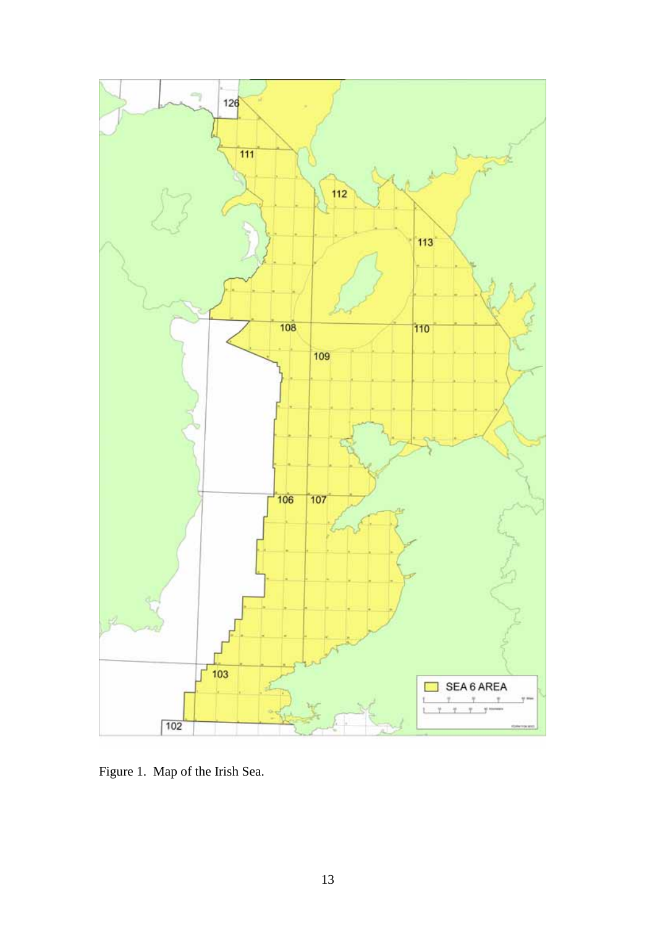

Figure 1. Map of the Irish Sea.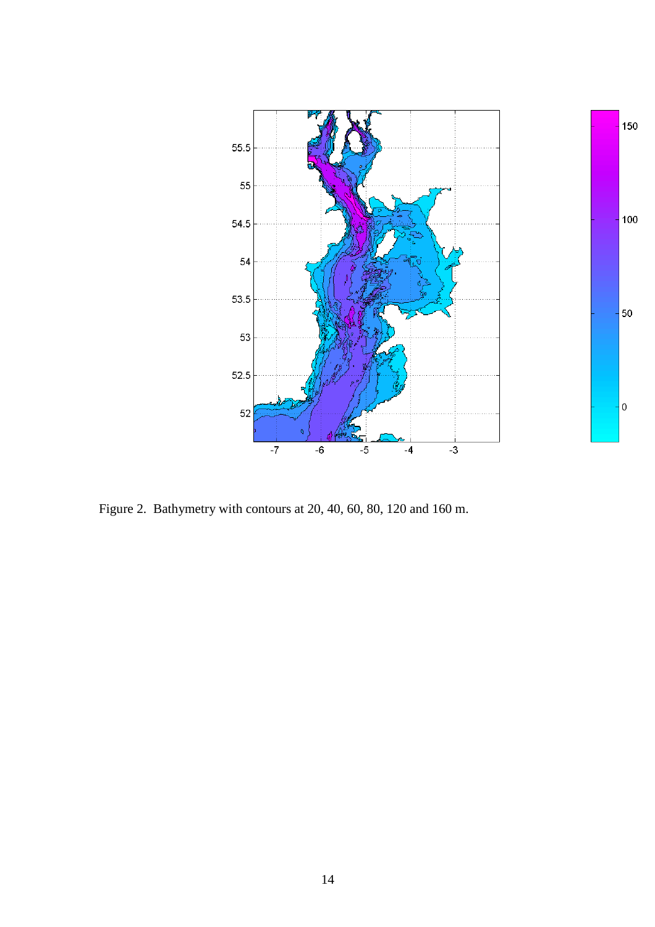

Figure 2. Bathymetry with contours at 20, 40, 60, 80, 120 and 160 m.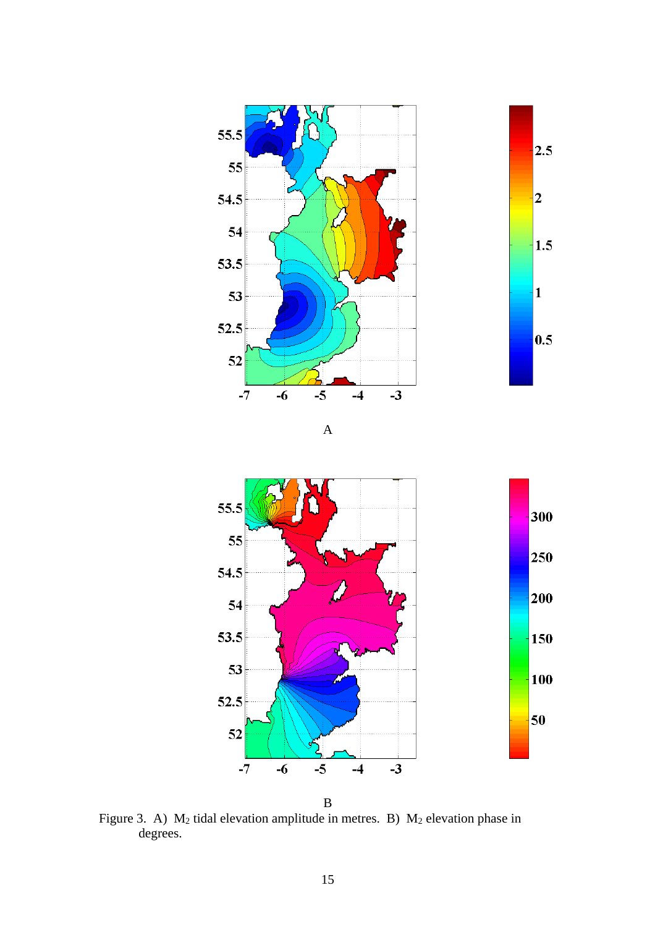

B

Figure 3. A)  $M_2$  tidal elevation amplitude in metres. B)  $M_2$  elevation phase in degrees.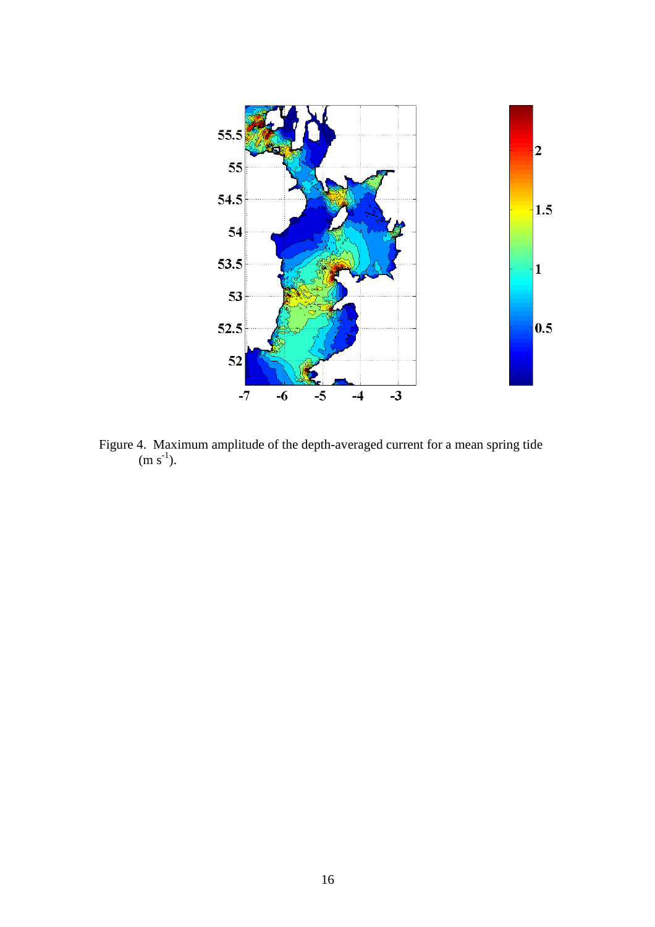

Figure 4. Maximum amplitude of the depth-averaged current for a mean spring tide  $(m s^{-1})$ .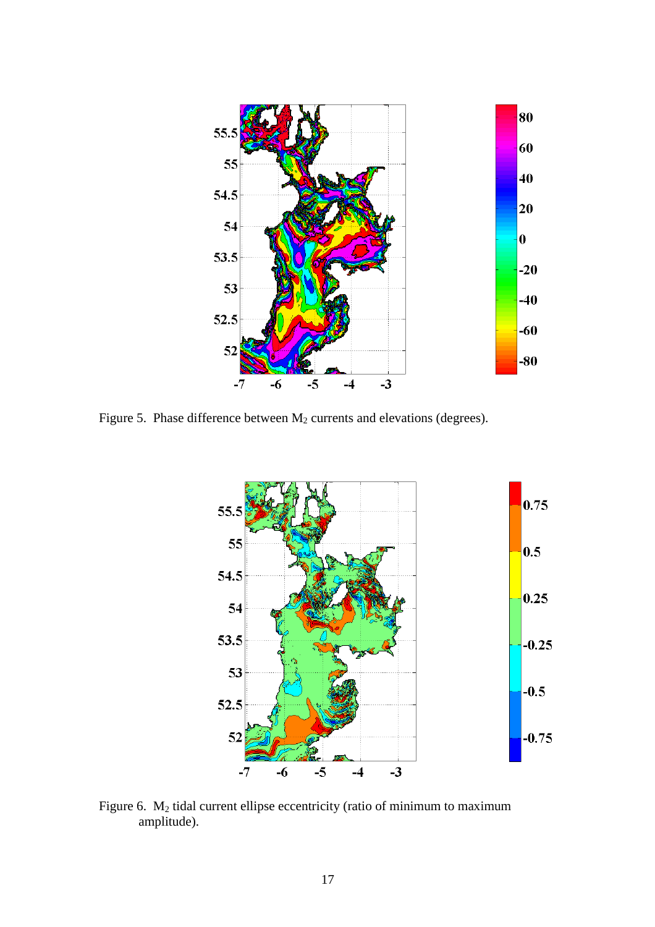

Figure 5. Phase difference between  $M_2$  currents and elevations (degrees).



Figure 6. M<sub>2</sub> tidal current ellipse eccentricity (ratio of minimum to maximum amplitude).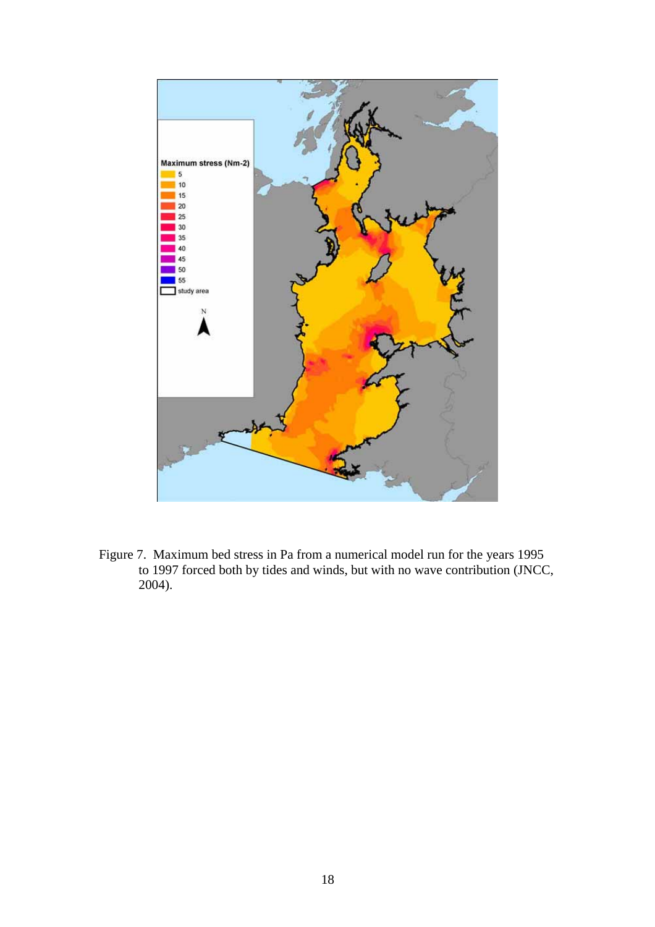

Figure 7. Maximum bed stress in Pa from a numerical model run for the years 1995 to 1997 forced both by tides and winds, but with no wave contribution (JNCC, 2004).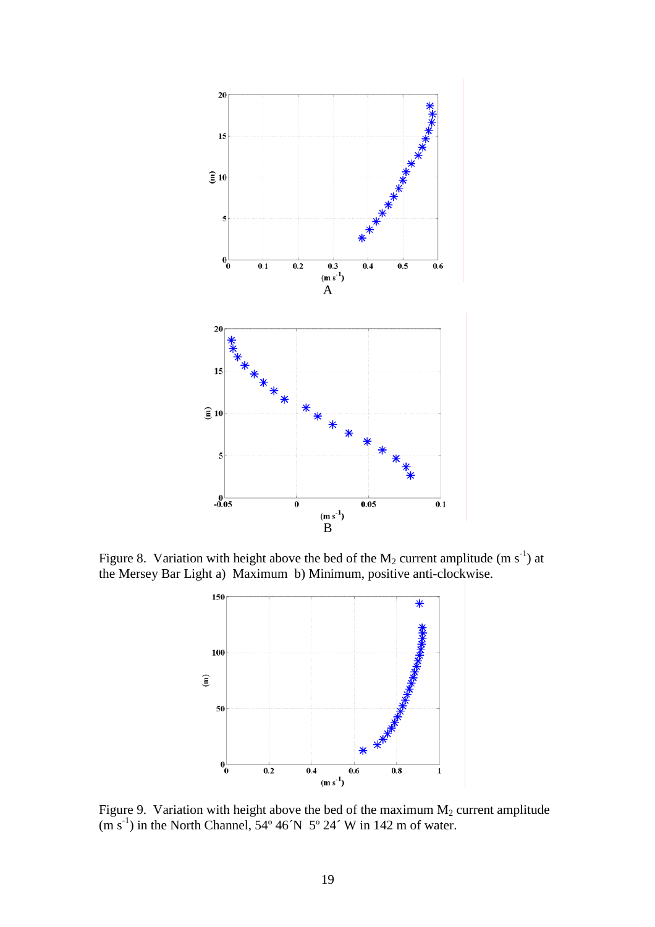

Figure 8. Variation with height above the bed of the  $M_2$  current amplitude (m s<sup>-1</sup>) at the Mersey Bar Light a) Maximum b) Minimum, positive anti-clockwise.



Figure 9. Variation with height above the bed of the maximum  $M_2$  current amplitude  $(m s<sup>-1</sup>)$  in the North Channel, 54° 46 $N$  5° 24 $\degree$  W in 142 m of water.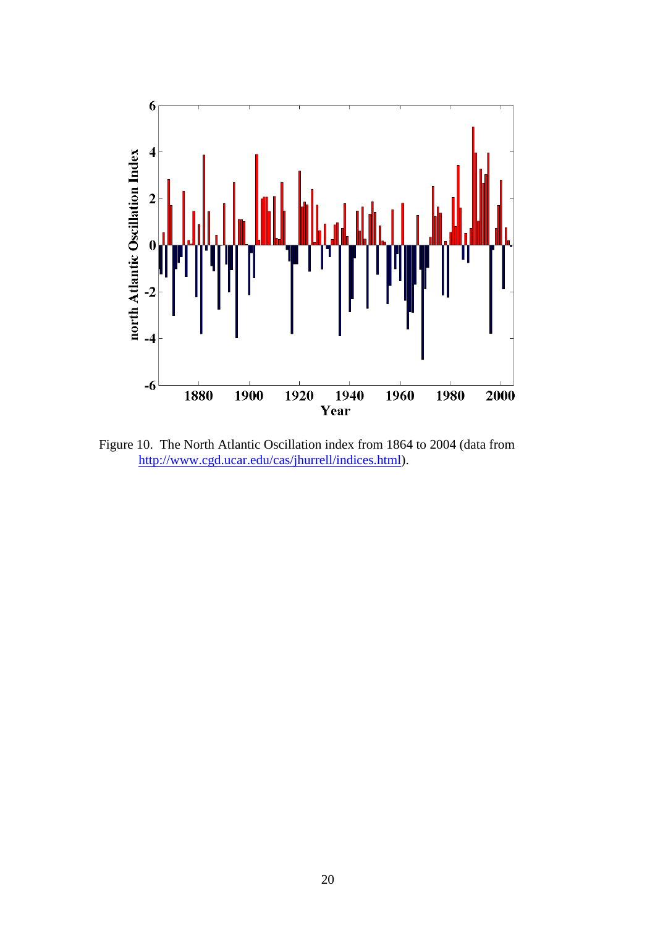

Figure 10. The North Atlantic Oscillation index from 1864 to 2004 (data from http://www.cgd.ucar.edu/cas/jhurrell/indices.html).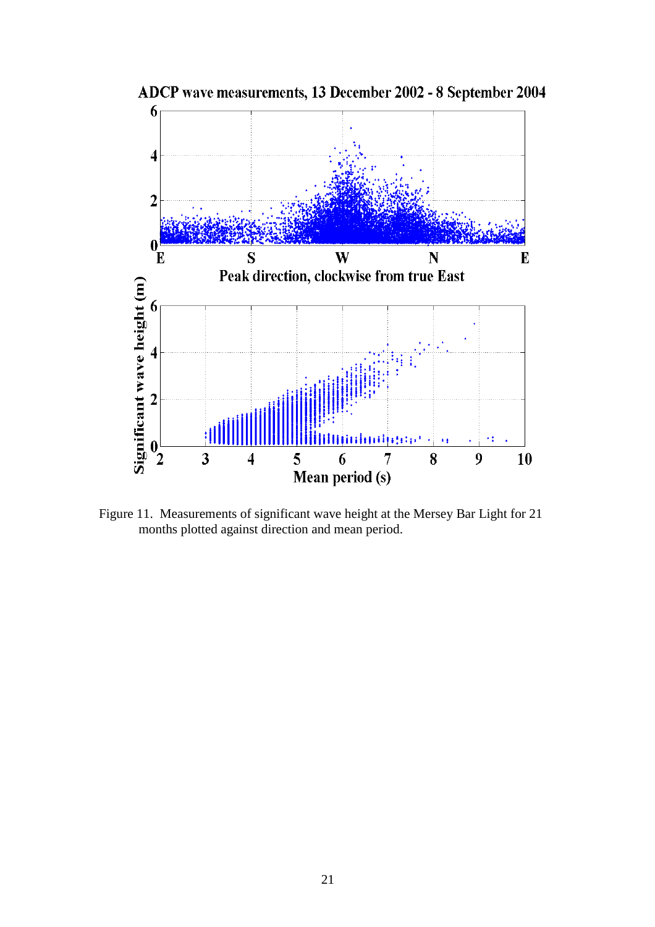

ADCP wave measurements, 13 December 2002 - 8 September 2004

Figure 11. Measurements of significant wave height at the Mersey Bar Light for 21 months plotted against direction and mean period.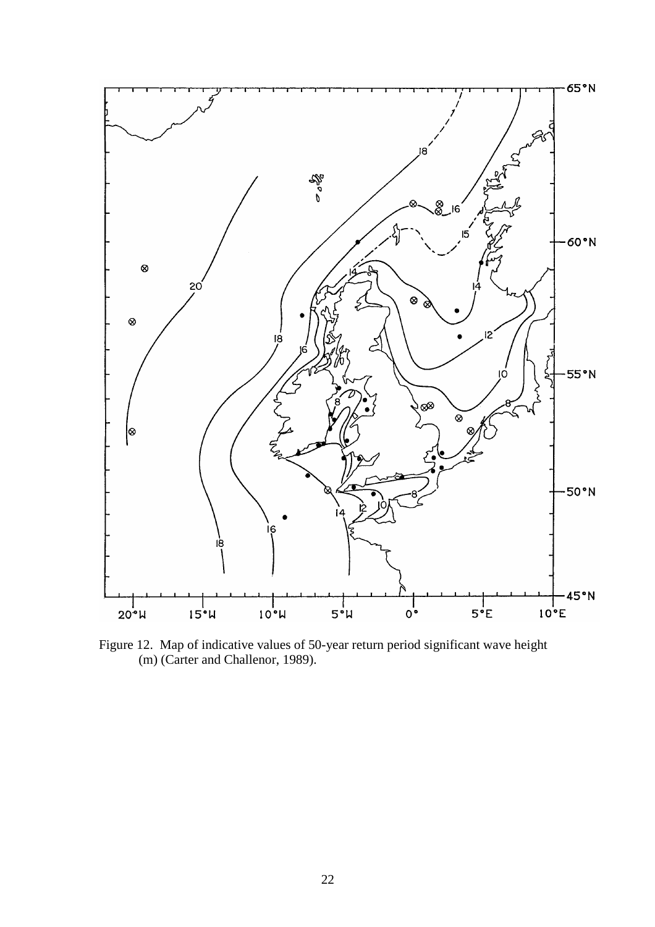

Figure 12. Map of indicative values of 50-year return period significant wave height (m) (Carter and Challenor, 1989).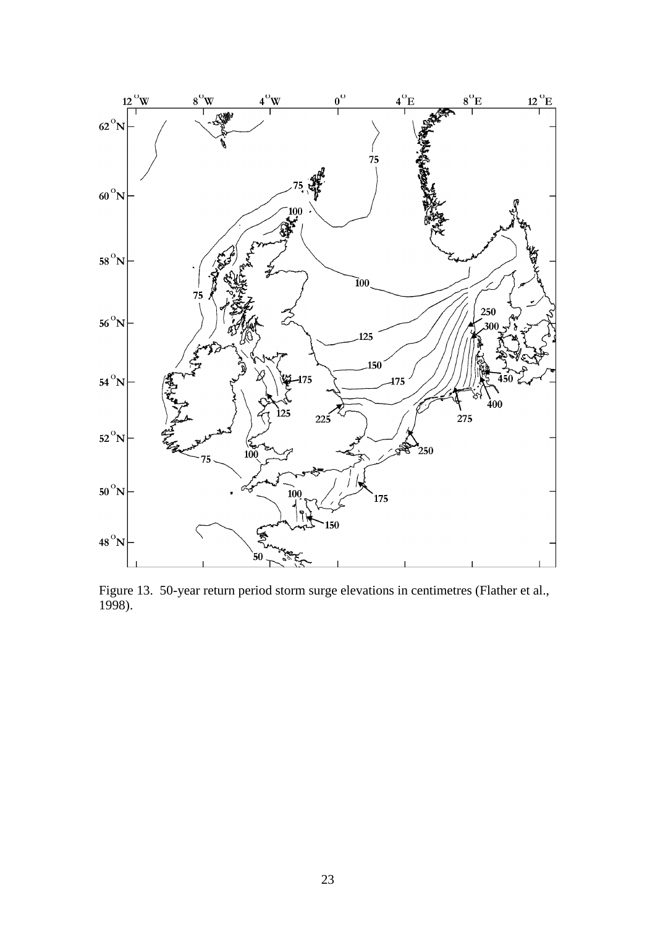

Figure 13. 50-year return period storm surge elevations in centimetres (Flather et al., 1998).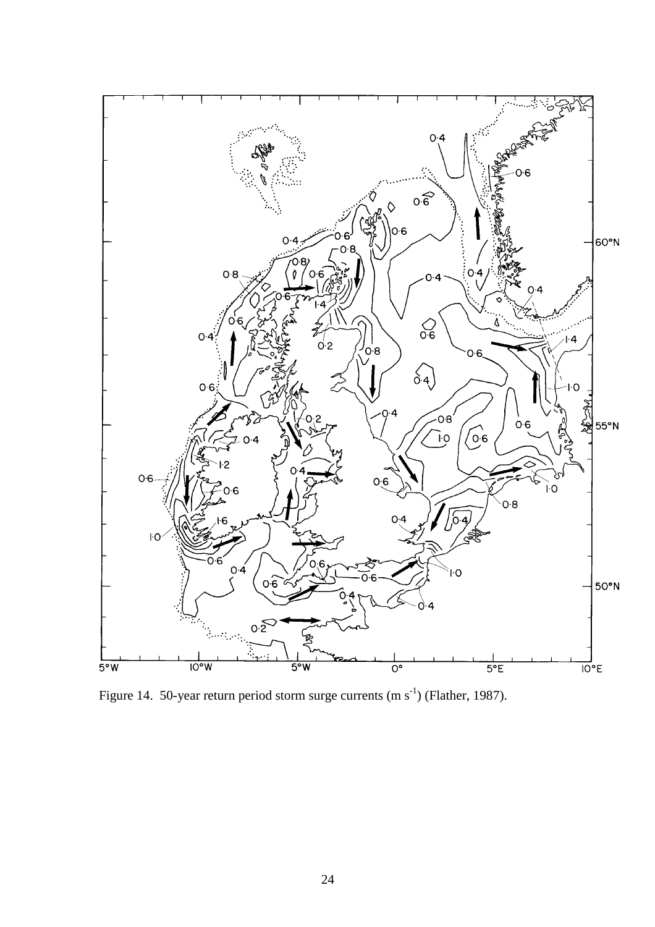

Figure 14. 50-year return period storm surge currents  $(m s<sup>-1</sup>)$  (Flather, 1987).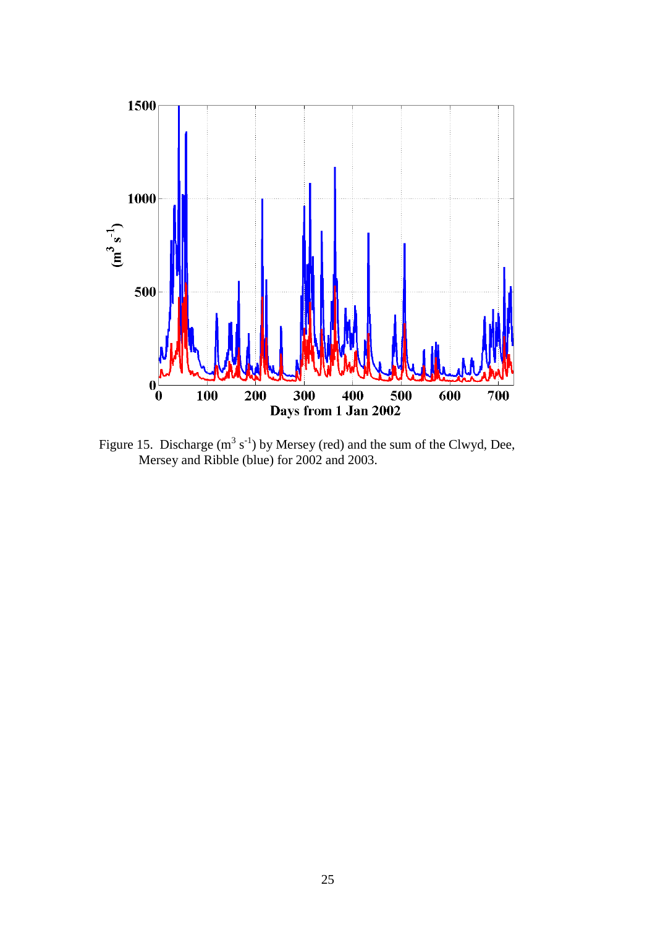

Figure 15. Discharge  $(m^3 s^{-1})$  by Mersey (red) and the sum of the Clwyd, Dee, Mersey and Ribble (blue) for 2002 and 2003.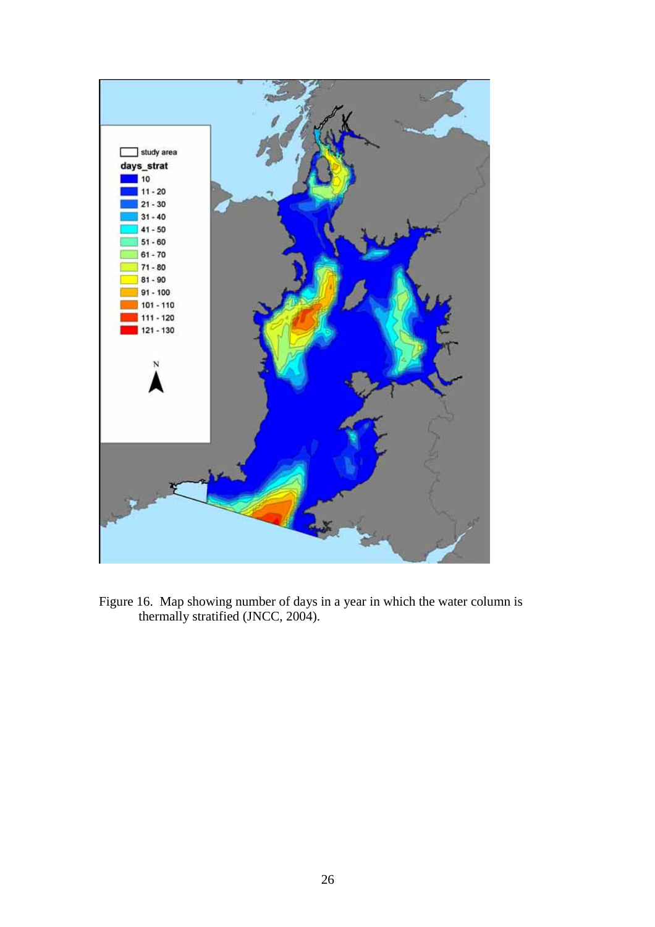

Figure 16. Map showing number of days in a year in which the water column is thermally stratified (JNCC, 2004).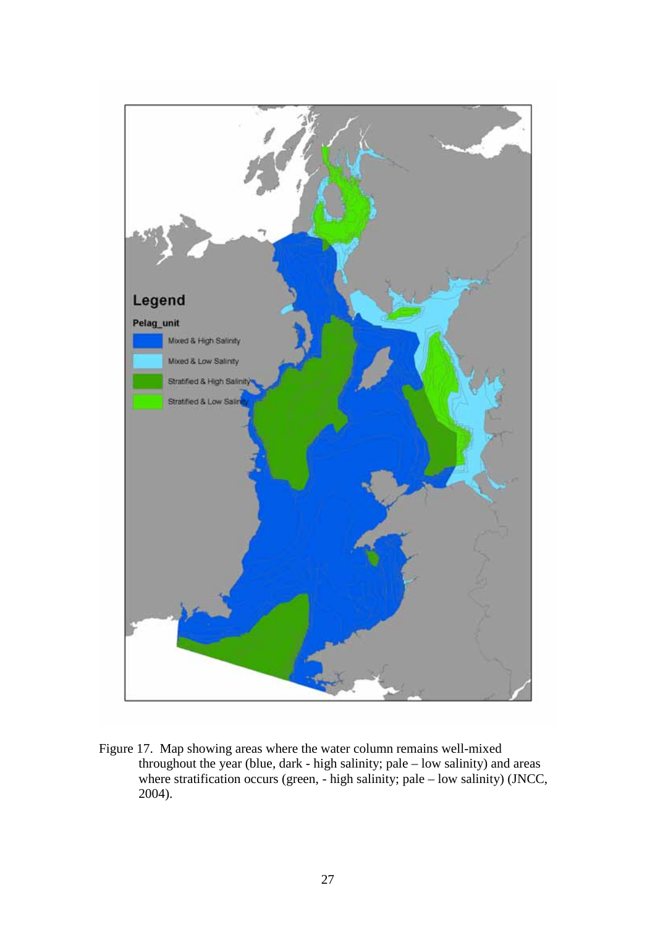

Figure 17. Map showing areas where the water column remains well-mixed throughout the year (blue, dark - high salinity; pale – low salinity) and areas where stratification occurs (green, - high salinity; pale – low salinity) (JNCC, 2004).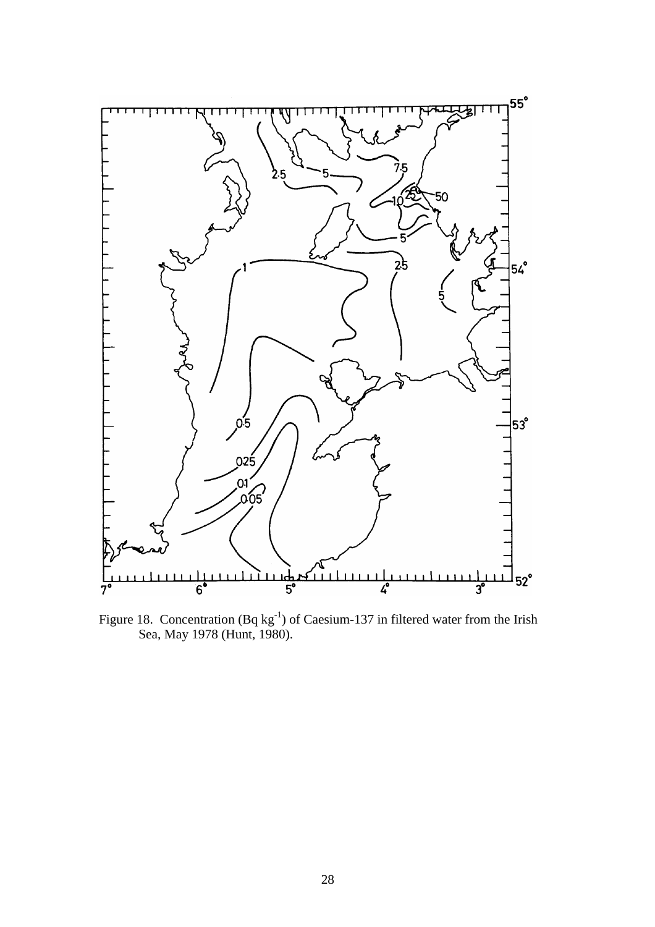

Figure 18. Concentration  $(Bq kg^{-1})$  of Caesium-137 in filtered water from the Irish Sea, May 1978 (Hunt, 1980).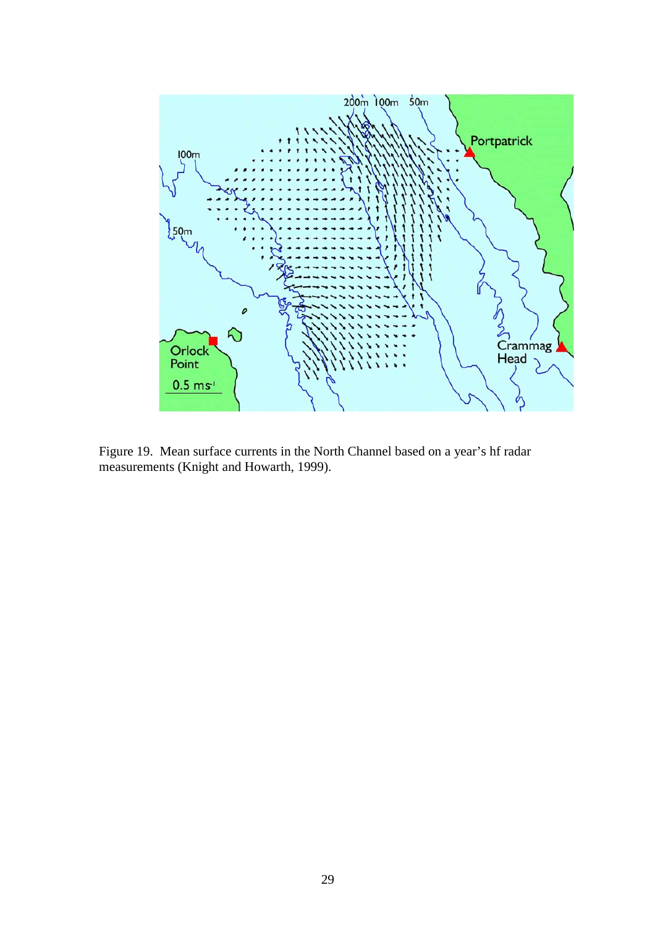

Figure 19. Mean surface currents in the North Channel based on a year's hf radar measurements (Knight and Howarth, 1999).